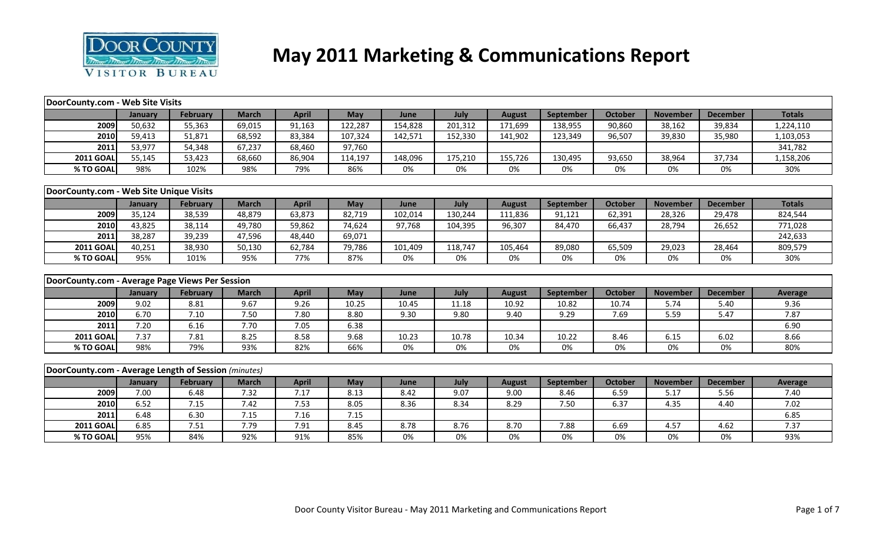

# **May 2011 Marketing & Communications Report**

| DoorCounty.com - Web Site Visits                     |         |                 |              |              |            |         |         |               |           |                |                 |                 |                |
|------------------------------------------------------|---------|-----------------|--------------|--------------|------------|---------|---------|---------------|-----------|----------------|-----------------|-----------------|----------------|
|                                                      | January | February        | <b>March</b> | <b>April</b> | <b>May</b> | June    | July    | <b>August</b> | September | <b>October</b> | <b>November</b> | <b>December</b> | <b>Totals</b>  |
| 2009                                                 | 50,632  | 55,363          | 69,015       | 91,163       | 122,287    | 154,828 | 201,312 | 171,699       | 138,955   | 90,860         | 38,162          | 39,834          | 1,224,110      |
| 2010                                                 | 59,413  | 51,871          | 68,592       | 83,384       | 107,324    | 142,571 | 152,330 | 141,902       | 123,349   | 96,507         | 39,830          | 35,980          | 1,103,053      |
| 2011                                                 | 53,977  | 54,348          | 67,237       | 68,460       | 97,760     |         |         |               |           |                |                 |                 | 341,782        |
| <b>2011 GOAL</b>                                     | 55,145  | 53,423          | 68,660       | 86,904       | 114,197    | 148,096 | 175,210 | 155,726       | 130,495   | 93,650         | 38,964          | 37,734          | 1,158,206      |
| % TO GOAL                                            | 98%     | 102%            | 98%          | 79%          | 86%        | 0%      | 0%      | 0%            | 0%        | 0%             | 0%              | 0%              | 30%            |
|                                                      |         |                 |              |              |            |         |         |               |           |                |                 |                 |                |
| DoorCounty.com - Web Site Unique Visits              |         |                 |              |              |            |         |         |               |           |                |                 |                 |                |
|                                                      | January | February        | <b>March</b> | <b>April</b> | May        | June    | July    | <b>August</b> | September | <b>October</b> | <b>November</b> | <b>December</b> | <b>Totals</b>  |
| 2009                                                 | 35,124  | 38,539          | 48,879       | 63,873       | 82,719     | 102,014 | 130,244 | 111,836       | 91,121    | 62,391         | 28,326          | 29,478          | 824,544        |
| 2010                                                 | 43,825  | 38,114          | 49,780       | 59,862       | 74,624     | 97,768  | 104,395 | 96,307        | 84,470    | 66,437         | 28,794          | 26,652          | 771,028        |
| 2011                                                 | 38,287  | 39,239          | 47,596       | 48,440       | 69,071     |         |         |               |           |                |                 |                 | 242,633        |
| <b>2011 GOAL</b>                                     | 40,251  | 38,930          | 50,130       | 62,784       | 79,786     | 101,409 | 118,747 | 105,464       | 89,080    | 65,509         | 29,023          | 28,464          | 809,579        |
| % TO GOAL                                            | 95%     | 101%            | 95%          | 77%          | 87%        | 0%      | $0\%$   | 0%            | 0%        | 0%             | 0%              | 0%              | 30%            |
|                                                      |         |                 |              |              |            |         |         |               |           |                |                 |                 |                |
| DoorCounty.com - Average Page Views Per Session      |         |                 |              |              |            |         |         |               |           |                |                 |                 |                |
|                                                      | January | February        | <b>March</b> | <b>April</b> | May        | June    | July    | <b>August</b> | September | <b>October</b> | <b>November</b> | <b>December</b> | <b>Average</b> |
| 2009                                                 | 9.02    | 8.81            | 9.67         | 9.26         | 10.25      | 10.45   | 11.18   | 10.92         | 10.82     | 10.74          | 5.74            | 5.40            | 9.36           |
| 2010                                                 | 6.70    | 7.10            | 7.50         | 7.80         | 8.80       | 9.30    | 9.80    | 9.40          | 9.29      | 7.69           | 5.59            | 5.47            | 7.87           |
| 2011                                                 | 7.20    | 6.16            | 7.70         | 7.05         | 6.38       |         |         |               |           |                |                 |                 | 6.90           |
| <b>2011 GOAL</b>                                     | 7.37    | 7.81            | 8.25         | 8.58         | 9.68       | 10.23   | 10.78   | 10.34         | 10.22     | 8.46           | 6.15            | 6.02            | 8.66           |
| % TO GOAL                                            | 98%     | 79%             | 93%          | 82%          | 66%        | 0%      | 0%      | 0%            | 0%        | 0%             | 0%              | 0%              | 80%            |
|                                                      |         |                 |              |              |            |         |         |               |           |                |                 |                 |                |
| DoorCounty.com - Average Length of Session (minutes) |         |                 |              |              |            |         |         |               |           |                |                 |                 |                |
|                                                      | January | <b>February</b> | <b>March</b> | <b>April</b> | May        | June    | July    | <b>August</b> | September | October        | <b>November</b> | <b>December</b> | <b>Average</b> |
| 2009                                                 | 7.00    | 6.48            | 7.32         | 7.17         | 8.13       | 8.42    | 9.07    | 9.00          | 8.46      | 6.59           | 5.17            | 5.56            | 7.40           |
| 2010                                                 | 6.52    | 7.15            | 7.42         | 7.53         | 8.05       | 8.36    | 8.34    | 8.29          | 7.50      | 6.37           | 4.35            | 4.40            | 7.02           |
| 2011                                                 | 6.48    | 6.30            | 7.15         | 7.16         | 7.15       |         |         |               |           |                |                 |                 | 6.85           |
| <b>2011 GOAL</b>                                     | 6.85    | 7.51            | 7.79         | 7.91         | 8.45       | 8.78    | 8.76    | 8.70          | 7.88      | 6.69           | 4.57            | 4.62            | 7.37           |
| % TO GOAL                                            | 95%     | 84%             | 92%          | 91%          | 85%        | 0%      | 0%      | 0%            | 0%        | 0%             | 0%              | 0%              | 93%            |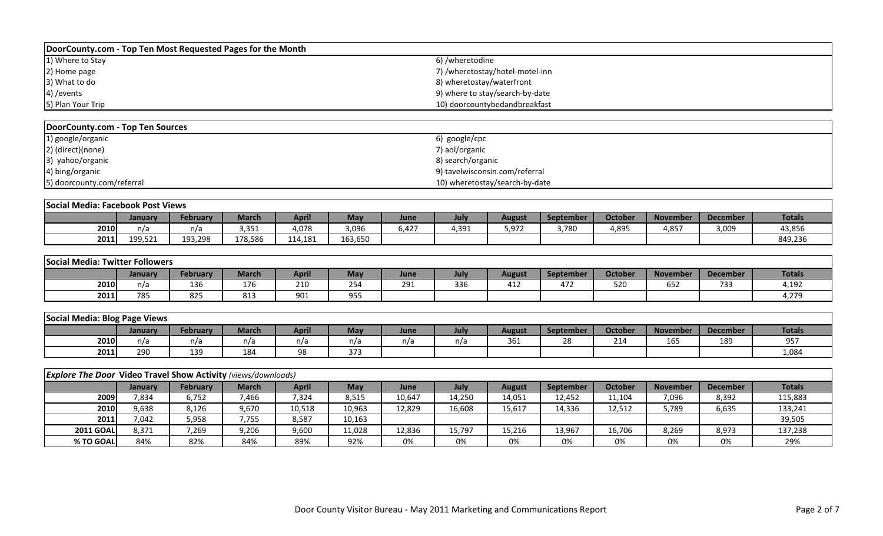| DoorCounty.com - Top Ten Most Requested Pages for the Month |                                 |
|-------------------------------------------------------------|---------------------------------|
| 1) Where to Stay                                            | 6) /wheretodine                 |
| 2) Home page                                                | 7) /wheretostay/hotel-motel-inn |
| 3) What to do                                               | 8) wheretostay/waterfront       |
| 4) / events                                                 | 9) where to stay/search-by-date |
| 5) Plan Your Trip                                           | 10) doorcountybedandbreakfast   |

| DoorCounty.com - Top Ten Sources |                                |
|----------------------------------|--------------------------------|
| 1) google/organic                | 6) google/cpc                  |
| 2) (direct)(none)                | 7) aol/organic                 |
| 3) yahoo/organic                 | 8) search/organic              |
| 4) bing/organic                  | 9) tavelwisconsin.com/referral |
| 5) doorcounty.com/referral       | 10) wheretostay/search-by-date |

|      | Social Media: Facebook Post Views |          |                               |              |         |       |             |        |           |         |                 |                 |               |  |
|------|-----------------------------------|----------|-------------------------------|--------------|---------|-------|-------------|--------|-----------|---------|-----------------|-----------------|---------------|--|
|      | Januarv                           | February | March                         | <b>Apri.</b> | May     | June  | <b>July</b> | August | September | October | <b>November</b> | <b>December</b> | <b>Totals</b> |  |
| 2010 | n/a                               | n/a      | $\sim$ $\sim$ $\sim$<br>3.351 | 4,078        | 3,096   | 6.427 | 1,391       | 5,972  | 3.780     | 4,895   | 4,857           | 3,009           | 43,856        |  |
| 2011 | 199521<br>エンノ・コムエ                 | 193,298  | 178.586                       | 114.181      | 163,650 |       |             |        |           |         |                 |                 | 849,236       |  |

| Social Media: Twitter Followers |         |          |                 |              |                      |      |      |               |           |                |                 |                 |               |
|---------------------------------|---------|----------|-----------------|--------------|----------------------|------|------|---------------|-----------|----------------|-----------------|-----------------|---------------|
|                                 | January | Februarv | <b>March</b>    | <b>April</b> | <b>May</b>           | June | July | <b>August</b> | September | <b>October</b> | <b>November</b> | <b>December</b> | <b>Totals</b> |
| 2010                            | n/a     | 136      | $4 - C$<br>17 t | 210          | $\sim$ $\sim$<br>254 | 291  | 336  | 412           | 472       | 52C            | 652             | 733             | 4,192         |
| 2011                            | 785     | 825      | 813             | 901          | 955                  |      |      |               |           |                |                 |                 | 4,279         |

| Social Media: Blog Page Views |        |          |        |       |              |      |      |                       |              |                |                 |                 |               |
|-------------------------------|--------|----------|--------|-------|--------------|------|------|-----------------------|--------------|----------------|-----------------|-----------------|---------------|
|                               | Januar | February | March/ | April | May          | June | July | <b>August</b>         | September    | <b>October</b> | <b>November</b> | <b>December</b> | <b>Totals</b> |
| 2010                          | n/a    | n/a      | n/a    | n/a   | n/a          | n/a  | n/a  | $\sim$ $\sim$<br>-361 | $\sim$<br>∕^ | 24.4<br>214    | $\sim$<br>16.   | 189             | 057<br>JJ 1   |
| 2011                          | 290    | 139      | 184    | 98    | . . -<br>ر ر |      |      |                       |              |                |                 |                 | 4,084         |

|                  | <b>Explore The Door Video Travel Show Activity (views/downloads)</b> |                 |       |              |        |        |        |               |                  |         |                 |                 |               |  |
|------------------|----------------------------------------------------------------------|-----------------|-------|--------------|--------|--------|--------|---------------|------------------|---------|-----------------|-----------------|---------------|--|
|                  | Januarv                                                              | <b>February</b> | March | <b>April</b> | May    | June   | July   | <b>August</b> | <b>September</b> | October | <b>November</b> | <b>December</b> | <b>Totals</b> |  |
| 2009             | 7,834                                                                | 6,752           | 7,466 | 7,324        | 8,515  | 10,647 | 14,250 | 14,051        | 12,452           | 11,104  | 7,096           | 8,392           | 115,883       |  |
| 2010             | 9,638                                                                | 8,126           | 9,670 | 10,518       | 10,963 | 12,829 | 16,608 | 15,617        | 14,336           | 12,512  | 5,789           | 6,635           | 133,241       |  |
| 2011             | 7,042                                                                | 5,958           | 7,755 | 8,587        | 10,163 |        |        |               |                  |         |                 |                 | 39,505        |  |
| <b>2011 GOAL</b> | 8,371                                                                | 7,269           | 9,206 | 9,600        | 11,028 | 12,836 | 15,797 | 15,216        | 13,967           | 16,706  | 8,269           | 8,973           | 137,238       |  |
| % TO GOAL        | 84%                                                                  | 82%             | 84%   | 89%          | 92%    | 0%     | 0%     | 0%            | 0%               | 0%      | 0%              | 0%              | 29%           |  |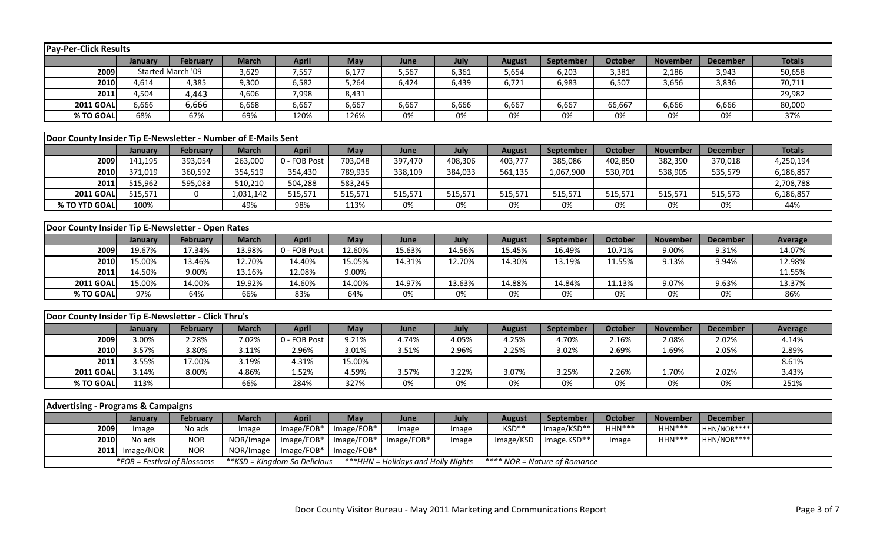| <b>Pay-Per-Click Results</b>                                  |                             |                 |                |                               |                 |                                           |         |               |                              |                |                 |                 |                |
|---------------------------------------------------------------|-----------------------------|-----------------|----------------|-------------------------------|-----------------|-------------------------------------------|---------|---------------|------------------------------|----------------|-----------------|-----------------|----------------|
|                                                               | January                     | February        | <b>March</b>   | <b>April</b>                  | <b>May</b>      | June                                      | July    | <b>August</b> | September                    | <b>October</b> | <b>November</b> | <b>December</b> | <b>Totals</b>  |
| 2009                                                          | Started March '09           |                 | 3,629          | 7,557                         | 6,177           | 5,567                                     | 6,361   | 5,654         | 6,203                        | 3,381          | 2,186           | 3,943           | 50,658         |
| 2010                                                          | 4,614                       | 4,385           | 9,300          | 6,582                         | 5,264           | 6,424                                     | 6,439   | 6,721         | 6,983                        | 6,507          | 3,656           | 3,836           | 70,711         |
| 2011                                                          | 4,504                       | 4,443           | 4,606          | 7,998                         | 8,431           |                                           |         |               |                              |                |                 |                 | 29,982         |
| <b>2011 GOAL</b>                                              | 6,666                       | 6,666           | 6,668          | 6,667                         | 6,667           | 6,667                                     | 6,666   | 6,667         | 6,667                        | 66,667         | 6,666           | 6,666           | 80,000         |
| % TO GOAL                                                     | 68%                         | 67%             | 69%            | 120%                          | 126%            | 0%                                        | 0%      | 0%            | 0%                           | 0%             | 0%              | 0%              | 37%            |
|                                                               |                             |                 |                |                               |                 |                                           |         |               |                              |                |                 |                 |                |
| Door County Insider Tip E-Newsletter - Number of E-Mails Sent |                             |                 |                |                               |                 |                                           |         |               |                              |                |                 |                 |                |
|                                                               | January                     | February        | <b>March</b>   | <b>April</b>                  | May             | June                                      | July    | <b>August</b> | September                    | <b>October</b> | <b>November</b> | <b>December</b> | <b>Totals</b>  |
| 2009                                                          | 141,195                     | 393,054         | 263,000        | 0 - FOB Post                  | 703,048         | 397,470                                   | 408,306 | 403,777       | 385,086                      | 402,850        | 382,390         | 370,018         | 4,250,194      |
| 2010                                                          | 371,019                     | 360,592         | 354,519        | 354,430                       | 789,935         | 338,109                                   | 384,033 | 561,135       | 1,067,900                    | 530,701        | 538,905         | 535,579         | 6,186,857      |
| 2011                                                          | 515,962                     | 595,083         | 510,210        | 504,288                       | 583,245         |                                           |         |               |                              |                |                 |                 | 2,708,788      |
| <b>2011 GOAL</b>                                              | 515,571                     | $\mathbf 0$     | 1,031,142      | 515,571                       | 515,571         | 515,571                                   | 515,571 | 515,571       | 515,571                      | 515,571        | 515,571         | 515,573         | 6,186,857      |
| % TO YTD GOAL                                                 | 100%                        |                 | 49%            | 98%                           | 113%            | 0%                                        | 0%      | 0%            | 0%                           | 0%             | 0%              | 0%              | 44%            |
|                                                               |                             |                 |                |                               |                 |                                           |         |               |                              |                |                 |                 |                |
| Door County Insider Tip E-Newsletter - Open Rates             |                             |                 |                |                               |                 |                                           |         |               |                              |                |                 |                 |                |
|                                                               | January                     | February        | <b>March</b>   | <b>April</b>                  | May             | June                                      | July    | <b>August</b> | September                    | October        | <b>November</b> | <b>December</b> | <b>Average</b> |
| 2009                                                          | 19.67%                      | 17.34%          | 13.98%         | 0 - FOB Post                  | 12.60%          | 15.63%                                    | 14.56%  | 15.45%        | 16.49%                       | 10.71%         | 9.00%           | 9.31%           | 14.07%         |
| 2010                                                          | 15.00%                      | 13.46%          | 12.70%         | 14.40%                        | 15.05%          | 14.31%                                    | 12.70%  | 14.30%        | 13.19%                       | 11.55%         | 9.13%           | 9.94%           | 12.98%         |
| 2011                                                          | 14.50%                      | 9.00%           | 13.16%         | 12.08%                        | 9.00%           |                                           |         |               |                              |                |                 |                 | 11.55%         |
| <b>2011 GOAL</b>                                              | 15.00%                      | 14.00%          | 19.92%         | 14.60%                        | 14.00%          | 14.97%                                    | 13.63%  | 14.88%        | 14.84%                       | 11.13%         | 9.07%           | 9.63%           | 13.37%         |
| % TO GOAL                                                     | 97%                         | 64%             | 66%            | 83%                           | 64%             | 0%                                        | $0\%$   | 0%            | 0%                           | $0\%$          | $0\%$           | $0\%$           | 86%            |
|                                                               |                             |                 |                |                               |                 |                                           |         |               |                              |                |                 |                 |                |
| Door County Insider Tip E-Newsletter - Click Thru's           |                             |                 |                |                               |                 |                                           |         |               |                              |                |                 |                 |                |
|                                                               | <b>January</b>              | February        | <b>March</b>   | <b>April</b>                  | May             | June                                      | July    | <b>August</b> | September                    | <b>October</b> | <b>November</b> | <b>December</b> | <b>Average</b> |
| 2009                                                          | 3.00%                       | 2.28%           | 7.02%          | 0 - FOB Post                  | 9.21%           | 4.74%                                     | 4.05%   | 4.25%         | 4.70%                        | 2.16%          | 2.08%           | 2.02%           | 4.14%          |
| 2010<br>2011                                                  | 3.57%<br>3.55%              | 3.80%<br>17.00% | 3.11%<br>3.19% | 2.96%<br>4.31%                | 3.01%<br>15.00% | 3.51%                                     | 2.96%   | 2.25%         | 3.02%                        | 2.69%          | 1.69%           | 2.05%           | 2.89%<br>8.61% |
| <b>2011 GOAL</b>                                              | 3.14%                       | 8.00%           | 4.86%          | 1.52%                         | 4.59%           | 3.57%                                     | 3.22%   | 3.07%         | 3.25%                        | 2.26%          | 1.70%           | 2.02%           | 3.43%          |
| % TO GOAL                                                     | 113%                        |                 | 66%            | 284%                          | 327%            | 0%                                        | 0%      | 0%            | 0%                           | 0%             | $0\%$           | 0%              | 251%           |
|                                                               |                             |                 |                |                               |                 |                                           |         |               |                              |                |                 |                 |                |
| <b>Advertising - Programs &amp; Campaigns</b>                 |                             |                 |                |                               |                 |                                           |         |               |                              |                |                 |                 |                |
|                                                               | January                     | February        | <b>March</b>   | <b>April</b>                  | May             | June                                      | July    | <b>August</b> | September                    | <b>October</b> | <b>November</b> | <b>December</b> |                |
| 2009                                                          | Image                       | No ads          | Image          | Image/FOB*                    | Image/FOB*      | Image                                     | Image   | KSD**         | Image/KSD**                  | $HHN***$       | HHN***          | HHN/NOR****     |                |
| 2010                                                          | No ads                      | <b>NOR</b>      | NOR/Image      | Image/FOB*                    | Image/FOB*      | Image/FOB*                                | Image   | Image/KSD     | Image.KSD**                  | Image          | HHN***          | HHN/NOR****     |                |
| 2011                                                          | Image/NOR                   | <b>NOR</b>      | NOR/Image      | Image/FOB*                    | Image/FOB*      |                                           |         |               |                              |                |                 |                 |                |
|                                                               | *FOB = Festival of Blossoms |                 |                | ** KSD = Kingdom So Delicious |                 | <b>***HHN</b> = Holidays and Holly Nights |         |               | **** NOR = Nature of Romance |                |                 |                 |                |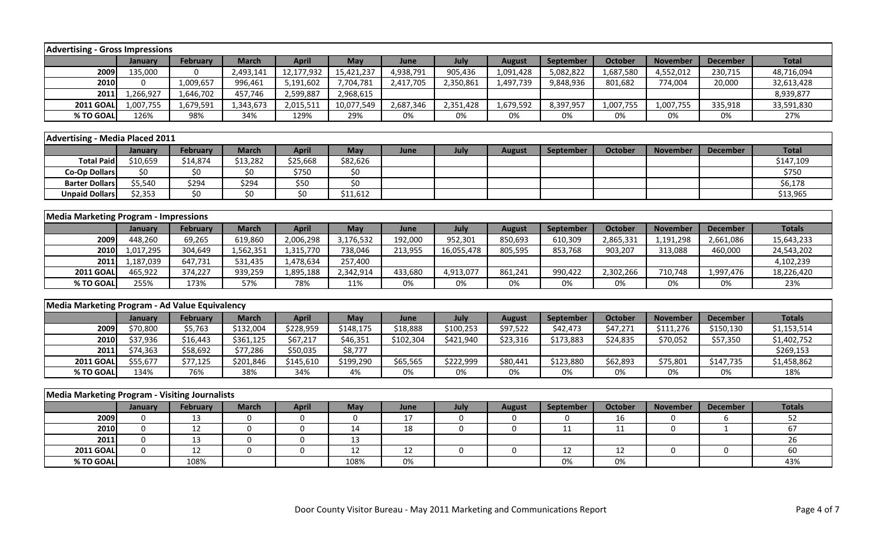| <b>Advertising - Gross Impressions</b>                |              |                 |              |                 |                    |           |             |               |           |                |                 |                 |               |
|-------------------------------------------------------|--------------|-----------------|--------------|-----------------|--------------------|-----------|-------------|---------------|-----------|----------------|-----------------|-----------------|---------------|
|                                                       | January      | <b>February</b> | <b>March</b> | <b>April</b>    | May                | June      | July        | <b>August</b> | September | <b>October</b> | <b>November</b> | <b>December</b> | <b>Total</b>  |
| 2009                                                  | 135,000      | $\Omega$        | 2,493,141    | 12,177,932      | 15,421,237         | 4,938,791 | 905,436     | 1,091,428     | 5,082,822 | 1,687,580      | 4,552,012       | 230,715         | 48,716,094    |
| 2010                                                  | $\mathbf 0$  | 1,009,657       | 996,461      | 5,191,602       | 7,704,781          | 2,417,705 | 2,350,861   | 1,497,739     | 9,848,936 | 801,682        | 774,004         | 20,000          | 32,613,428    |
| 2011                                                  | 1,266,927    | 1,646,702       | 457,746      | 2,599,887       | 2,968,615          |           |             |               |           |                |                 |                 | 8,939,877     |
| <b>2011 GOAL</b>                                      | 1,007,755    | 1,679,591       | 1,343,673    | 2,015,511       | 10,077,549         | 2,687,346 | 2,351,428   | 1,679,592     | 8,397,957 | 1,007,755      | 1,007,755       | 335,918         | 33,591,830    |
| % TO GOAL                                             | 126%         | 98%             | 34%          | 129%            | 29%                | 0%        | 0%          | 0%            | 0%        | 0%             | 0%              | 0%              | 27%           |
|                                                       |              |                 |              |                 |                    |           |             |               |           |                |                 |                 |               |
| <b>Advertising - Media Placed 2011</b>                |              |                 |              |                 |                    |           |             |               |           |                |                 |                 |               |
|                                                       | January      | <b>February</b> | <b>March</b> | <b>April</b>    | May                | June      | July        | <b>August</b> | September | <b>October</b> | <b>November</b> | <b>December</b> | <b>Total</b>  |
| <b>Total Paid</b>                                     | \$10,659     | \$14,874        | \$13,282     | \$25,668        | \$82,626           |           |             |               |           |                |                 |                 | \$147,109     |
| <b>Co-Op Dollars</b>                                  | \$0          | \$0             | \$0          | \$750           | \$0                |           |             |               |           |                |                 |                 | \$750         |
| <b>Barter Dollars</b>                                 | \$5,540      | \$294           | \$294        | \$50            | $\overline{\xi_0}$ |           |             |               |           |                |                 |                 | \$6,178       |
| <b>Unpaid Dollars</b>                                 | \$2,353      | \$0             | \$0          | $\overline{50}$ | \$11,612           |           |             |               |           |                |                 |                 | \$13,965      |
|                                                       |              |                 |              |                 |                    |           |             |               |           |                |                 |                 |               |
| <b>Media Marketing Program - Impressions</b>          |              |                 |              |                 |                    |           |             |               |           |                |                 |                 |               |
|                                                       | January      | February        | <b>March</b> | <b>April</b>    | May                | June      | July        | <b>August</b> | September | <b>October</b> | <b>November</b> | <b>December</b> | <b>Totals</b> |
| 2009                                                  | 448,260      | 69,265          | 619,860      | 2,006,298       | 3,176,532          | 192,000   | 952,301     | 850,693       | 610,309   | 2,865,331      | 1,191,298       | 2,661,086       | 15,643,233    |
| 2010                                                  | 1,017,295    | 304,649         | 1,562,351    | 1,315,770       | 738,046            | 213,955   | 16,055,478  | 805,595       | 853,768   | 903,207        | 313,088         | 460,000         | 24,543,202    |
| 2011                                                  | 1,187,039    | 647,731         | 531,435      | 1,478,634       | 257,400            |           |             |               |           |                |                 |                 | 4,102,239     |
| <b>2011 GOAL</b>                                      | 465,922      | 374,227         | 939,259      | 1,895,188       | 2,342,914          | 433,680   | 4,913,077   | 861,241       | 990,422   | 2,302,266      | 710,748         | 1,997,476       | 18,226,420    |
| % TO GOAL                                             | 255%         | 173%            | 57%          | 78%             | 11%                | 0%        | 0%          | 0%            | 0%        | 0%             | 0%              | 0%              | 23%           |
|                                                       |              |                 |              |                 |                    |           |             |               |           |                |                 |                 |               |
| Media Marketing Program - Ad Value Equivalency        |              |                 |              |                 |                    |           |             |               |           |                |                 |                 |               |
|                                                       | January      | <b>February</b> | <b>March</b> | <b>April</b>    | May                | June      | July        | <b>August</b> | September | <b>October</b> | <b>November</b> | <b>December</b> | <b>Totals</b> |
| 2009                                                  | \$70,800     | \$5,763         | \$132,004    | \$228,959       | \$148,175          | \$18,888  | \$100,253   | \$97,522      | \$42,473  | \$47,271       | \$111,276       | \$150,130       | \$1,153,514   |
| 2010                                                  | \$37,936     | \$16,443        | \$361,125    | \$67,217        | \$46,351           | \$102,304 | \$421,940   | \$23,316      | \$173,883 | \$24,835       | \$70,052        | \$57,350        | \$1,402,752   |
| 2011                                                  | \$74,363     | \$58,692        | \$77,286     | \$50,035        | \$8,777            |           |             |               |           |                |                 |                 | \$269,153     |
| <b>2011 GOAL</b>                                      | \$55,677     | \$77,125        | \$201,846    | \$145,610       | \$199,290          | \$65,565  | \$222,999   | \$80,441      | \$123,880 | \$62,893       | \$75,801        | \$147,735       | \$1,458,862   |
| % TO GOAL                                             | 134%         | 76%             | 38%          | 34%             | 4%                 | 0%        | 0%          | 0%            | 0%        | 0%             | 0%              | 0%              | 18%           |
|                                                       |              |                 |              |                 |                    |           |             |               |           |                |                 |                 |               |
| <b>Media Marketing Program - Visiting Journalists</b> |              |                 |              |                 |                    |           |             |               |           |                |                 |                 |               |
|                                                       | January      | <b>February</b> | <b>March</b> | <b>April</b>    | <b>May</b>         | June      | July        | <b>August</b> | September | October        | <b>November</b> | <b>December</b> | <b>Totals</b> |
| 2009                                                  | $\mathbf 0$  | 13              | $\mathbf 0$  | 0               | $\mathbf 0$        | 17        | $\mathbf 0$ | 0             | 0         | 16             | 0               | 6               | 52            |
| 2010                                                  | $\mathbf 0$  | 12              | $\mathbf 0$  | 0               | 14                 | 18        | $\mathbf 0$ | $\mathbf 0$   | 11        | 11             | $\pmb{0}$       | $\mathbf{1}$    | 67            |
| 2011                                                  | $\mathbf 0$  | 13              | $\mathbf 0$  | 0               | 13                 |           |             |               |           |                |                 |                 | 26            |
| <b>2011 GOAL</b>                                      | $\mathbf{0}$ | 12              | $\mathbf 0$  | 0               | 12                 | 12        | $\mathbf 0$ | $\mathbf 0$   | 12        | 12             | 0               | $\pmb{0}$       | 60            |
| % TO GOAL                                             |              | 108%            |              |                 | 108%               | 0%        |             |               | 0%        | 0%             |                 |                 | 43%           |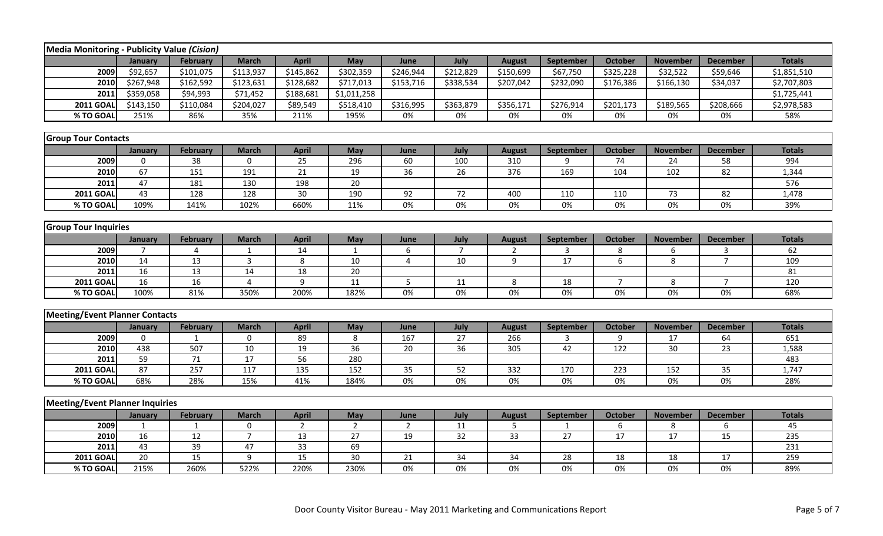| Media Monitoring - Publicity Value (Cision) |                |                  |                  |                 |                 |                 |                 |                |              |                  |                 |                 |               |
|---------------------------------------------|----------------|------------------|------------------|-----------------|-----------------|-----------------|-----------------|----------------|--------------|------------------|-----------------|-----------------|---------------|
|                                             | January        | <b>February</b>  | <b>March</b>     | <b>April</b>    | May             | June            | July            | <b>August</b>  | September    | <b>October</b>   | <b>November</b> | <b>December</b> | <b>Totals</b> |
| 2009                                        | \$92,657       | \$101,075        | \$113,937        | \$145,862       | \$302,359       | \$246,944       | \$212,829       | \$150,699      | \$67,750     | \$325,228        | \$32,522        | \$59,646        | \$1,851,510   |
| 2010                                        | \$267,948      | \$162,592        | \$123,631        | \$128,682       | \$717,013       | \$153,716       | \$338,534       | \$207,042      | \$232,090    | \$176,386        | \$166,130       | \$34,037        | \$2,707,803   |
| 2011                                        | \$359,058      | \$94,993         | \$71,452         | \$188,681       | \$1,011,258     |                 |                 |                |              |                  |                 |                 | \$1,725,441   |
| <b>2011 GOAL</b>                            | \$143,150      | \$110,084        | \$204,027        | \$89,549        | \$518,410       | \$316,995       | \$363,879       | \$356,171      | \$276,914    | \$201,173        | \$189,565       | \$208,666       | \$2,978,583   |
| % TO GOAL                                   | 251%           | 86%              | 35%              | 211%            | 195%            | 0%              | 0%              | 0%             | 0%           | 0%               | 0%              | 0%              | 58%           |
|                                             |                |                  |                  |                 |                 |                 |                 |                |              |                  |                 |                 |               |
| <b>Group Tour Contacts</b>                  |                |                  |                  |                 |                 |                 |                 |                |              |                  |                 |                 |               |
|                                             | January        | <b>February</b>  | <b>March</b>     | <b>April</b>    | May             | June            | July            | <b>August</b>  | September    | <b>October</b>   | <b>November</b> | <b>December</b> | <b>Totals</b> |
| 2009                                        | $\mathbf 0$    | 38               | 0                | 25              | 296             | 60              | 100             | 310            | 9            | 74               | 24              | 58              | 994           |
| 2010                                        | 67             | 151              | 191              | 21              | 19              | $\overline{36}$ | $\overline{26}$ | 376            | 169          | 104              | 102             | $\overline{82}$ | 1,344         |
| 2011                                        | 47             | 181              | 130              | 198             | 20              |                 |                 |                |              |                  |                 |                 | 576           |
| <b>2011 GOAL</b>                            | 43             | 128              | 128              | 30              | 190             | 92              | 72              | 400            | 110          | 110              | 73              | 82              | 1,478         |
| % TO GOAL                                   | 109%           | 141%             | 102%             | 660%            | 11%             | 0%              | 0%              | 0%             | 0%           | 0%               | 0%              | 0%              | 39%           |
|                                             |                |                  |                  |                 |                 |                 |                 |                |              |                  |                 |                 |               |
| <b>Group Tour Inquiries</b>                 |                |                  |                  |                 |                 |                 |                 |                |              |                  |                 |                 |               |
|                                             | January        | <b>February</b>  | <b>March</b>     | <b>April</b>    | May             | June            | July            | <b>August</b>  | September    | <b>October</b>   | <b>November</b> | <b>December</b> | <b>Totals</b> |
| 2009                                        | 7              | 4                | $\mathbf{1}$     | 14              | $\mathbf{1}$    | 6               | $\overline{7}$  | 2              | 3            | 8                | 6               | 3               | 62            |
| 2010                                        | 14             | 13               | $\overline{3}$   | 8               | 10              | $\overline{4}$  | 10              | $\overline{9}$ | 17           | 6                | 8               | $\overline{7}$  | 109           |
| 2011                                        | 16             | 13               | 14               | 18              | 20              |                 |                 |                |              |                  |                 |                 | 81            |
| <b>2011 GOAL</b>                            | 16             | 16               | $\overline{4}$   | 9               | 11              | 5               | 11              | 8              | 18           | $\overline{7}$   | 8               | $\overline{7}$  | 120           |
| % TO GOAL                                   | 100%           | 81%              | 350%             | 200%            | 182%            | 0%              | 0%              | 0%             | 0%           | $0\%$            | 0%              | 0%              | 68%           |
|                                             |                |                  |                  |                 |                 |                 |                 |                |              |                  |                 |                 |               |
| <b>Meeting/Event Planner Contacts</b>       |                |                  |                  |                 |                 |                 |                 |                |              |                  |                 |                 |               |
|                                             | January        | <b>February</b>  | <b>March</b>     | <b>April</b>    | May             | June            | July            | <b>August</b>  | September    | <b>October</b>   | <b>November</b> | <b>December</b> | <b>Totals</b> |
| 2009                                        | $\overline{0}$ | 1                | $\mathbf 0$      | 89              | 8               | 167             | 27              | 266            | 3            | 9                | 17              | 64              | 651           |
| 2010                                        | 438            | 507              | 10               | 19              | $\overline{36}$ | 20              | 36              | 305            | 42           | $\overline{122}$ | $\overline{30}$ | $\overline{23}$ | 1,588         |
| 2011                                        | 59             | $71\,$           | 17               | 56              | 280             |                 |                 |                |              |                  |                 |                 | 483           |
| <b>2011 GOAL</b>                            | 87             | $\overline{257}$ | $\overline{117}$ | 135             | 152             | $\overline{35}$ | 52              | 332            | 170          | 223              | 152             | $\overline{35}$ | 1,747         |
| % TO GOAL                                   | 68%            | 28%              | 15%              | 41%             | 184%            | $0\%$           | $0\%$           | 0%             | $0\%$        | $0\%$            | $0\%$           | 0%              | 28%           |
|                                             |                |                  |                  |                 |                 |                 |                 |                |              |                  |                 |                 |               |
| <b>Meeting/Event Planner Inquiries</b>      |                |                  |                  |                 |                 |                 |                 |                |              |                  |                 |                 |               |
|                                             | January        | <b>February</b>  | <b>March</b>     | <b>April</b>    | May             | June            | July            | <b>August</b>  | September    | <b>October</b>   | <b>November</b> | <b>December</b> | <b>Totals</b> |
| 2009                                        | 1              | $\mathbf{1}$     | $\mathbf 0$      | $\overline{2}$  | $\overline{2}$  | $\overline{2}$  | 11              | 5              | $\mathbf{1}$ | 6                | 8               | 6               | 45            |
| 2010                                        | 16             | 12               | $\overline{7}$   | 13              | 27              | 19              | 32              | 33             | 27           | 17               | 17              | 15              | 235           |
| 2011                                        | 43             | 39               | 47               | 33              | 69              |                 |                 |                |              |                  |                 |                 | 231           |
| <b>2011 GOAL</b>                            | 20             | 15               | 9                | $\overline{15}$ | 30              | 21              | 34              | 34             | 28           | 18               | 18              | 17              | 259           |
| % TO GOAL                                   | 215%           | 260%             | 522%             | 220%            | 230%            | $0\%$           | $0\%$           | $0\%$          | $0\%$        | $0\%$            | $0\%$           | 0%              | 89%           |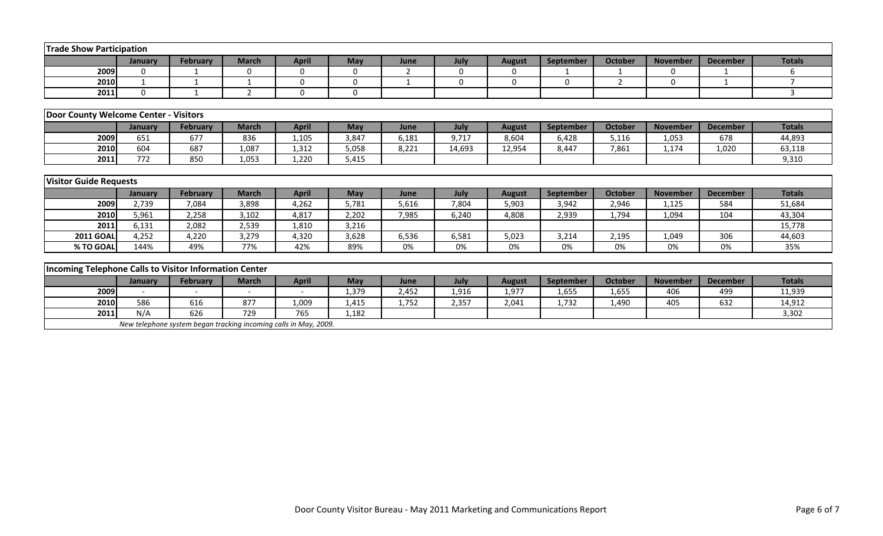| <b>Trade Show Participation</b>                        |              |                 |                |              |                |                          |              |               |           |                |                 |                 |               |
|--------------------------------------------------------|--------------|-----------------|----------------|--------------|----------------|--------------------------|--------------|---------------|-----------|----------------|-----------------|-----------------|---------------|
|                                                        | January      | <b>February</b> | <b>March</b>   | <b>April</b> | May            | June                     | July         | <b>August</b> | September | <b>October</b> | <b>November</b> | <b>December</b> | <b>Totals</b> |
| 2009                                                   | $\mathbf{0}$ |                 | $\Omega$       | 0            | $\Omega$       | $\overline{\phantom{a}}$ | $\mathbf{0}$ | 0             |           |                | $\Omega$        |                 | 6             |
| 2010                                                   | $\mathbf{1}$ |                 |                | $\mathbf{0}$ | $\overline{0}$ |                          | $\Omega$     | $\Omega$      | $\Omega$  | $\overline{2}$ | $\Omega$        | $\mathbf{1}$    |               |
| 2011                                                   | $\Omega$     |                 | $\overline{2}$ | $\Omega$     | $\Omega$       |                          |              |               |           |                |                 |                 | 3             |
|                                                        |              |                 |                |              |                |                          |              |               |           |                |                 |                 |               |
| Door County Welcome Center - Visitors                  |              |                 |                |              |                |                          |              |               |           |                |                 |                 |               |
|                                                        | January      | <b>February</b> | <b>March</b>   | <b>April</b> | May            | June                     | July         | <b>August</b> | September | <b>October</b> | <b>November</b> | <b>December</b> | <b>Totals</b> |
| 2009                                                   | 651          | 677             | 836            | 1,105        | 3,847          | 6,181                    | 9,717        | 8,604         | 6,428     | 5,116          | 1,053           | 678             | 44,893        |
| 2010                                                   | 604          | 687             | 1,087          | 1,312        | 5,058          | 8,221                    | 14,693       | 12,954        | 8,447     | 7,861          | 1,174           | 1,020           | 63,118        |
| 2011                                                   | 772          | 850             | 1,053          | 1,220        | 5,415          |                          |              |               |           |                |                 |                 | 9,310         |
|                                                        |              |                 |                |              |                |                          |              |               |           |                |                 |                 |               |
| <b>Visitor Guide Requests</b>                          |              |                 |                |              |                |                          |              |               |           |                |                 |                 |               |
|                                                        | January      | <b>February</b> | <b>March</b>   | <b>April</b> | <b>May</b>     | June                     | July         | <b>August</b> | September | <b>October</b> | <b>November</b> | <b>December</b> | <b>Totals</b> |
| 2009                                                   | 2,739        | 7,084           | 3,898          | 4,262        | 5,781          | 5,616                    | 7,804        | 5,903         | 3,942     | 2,946          | 1,125           | 584             | 51,684        |
| 2010                                                   | 5,961        | 2,258           | 3,102          | 4,817        | 2,202          | 7,985                    | 6,240        | 4,808         | 2,939     | 1,794          | 1,094           | 104             | 43,304        |
| 2011                                                   | 6,131        | 2,082           | 2,539          | 1,810        | 3,216          |                          |              |               |           |                |                 |                 | 15,778        |
| <b>2011 GOAL</b>                                       | 4,252        | 4,220           | 3,279          | 4,320        | 3,628          | 6,536                    | 6,581        | 5,023         | 3,214     | 2,195          | 1,049           | 306             | 44,603        |
| % TO GOAL                                              | 144%         | 49%             | 77%            | 42%          | 89%            | 0%                       | 0%           | 0%            | 0%        | 0%             | 0%              | 0%              | 35%           |
|                                                        |              |                 |                |              |                |                          |              |               |           |                |                 |                 |               |
| Incoming Telephone Calls to Visitor Information Center |              |                 |                |              |                |                          |              |               |           |                |                 |                 |               |
|                                                        | January      | <b>February</b> | <b>March</b>   | <b>April</b> | May            | June                     | July         | <b>August</b> | September | <b>October</b> | <b>November</b> | <b>December</b> | <b>Totals</b> |
| 2009                                                   |              |                 |                |              | 1,379          | 2,452                    | 1,916        | 1,977         | 1,655     | 1,655          | 406             | 499             | 11,939        |
| 2010                                                   | 586          | 616             | 877            | 1,009        | 1,415          | 1,752                    | 2,357        | 2,041         | 1,732     | 1,490          | 405             | 632             | 14,912        |
| 2011                                                   | N/A          | 626             | 729            | 765          | 1,182          |                          |              |               |           |                |                 |                 | 3,302         |

 *New telephone system began tracking incoming calls in May, 2009.*